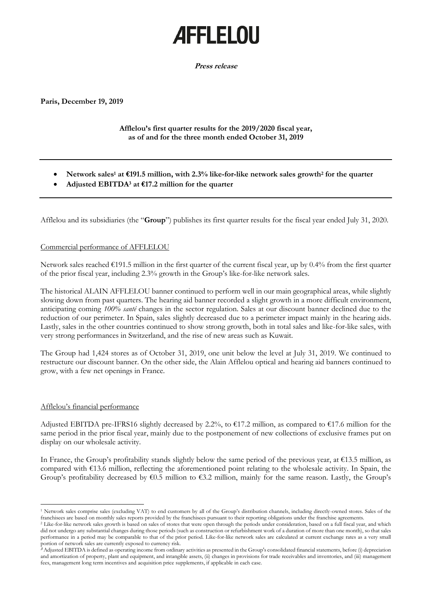# **AFFLELOU**

**Press release**

**Paris, December 19, 2019**

## **Afflelou's first quarter results for the 2019/2020 fiscal year, as of and for the three month ended October 31, 2019**

- **Network sales<sup>1</sup> at €191.5 million, with 2.3% like-for-like network sales growth<sup>2</sup> for the quarter**
- **Adjusted EBITDA<sup>3</sup> at €17.2 million for the quarter**

Afflelou and its subsidiaries (the "**Group**") publishes its first quarter results for the fiscal year ended July 31, 2020.

### Commercial performance of AFFLELOU

Network sales reached  $\epsilon$ 191.5 million in the first quarter of the current fiscal year, up by 0.4% from the first quarter of the prior fiscal year, including 2.3% growth in the Group's like-for-like network sales.

The historical ALAIN AFFLELOU banner continued to perform well in our main geographical areas, while slightly slowing down from past quarters. The hearing aid banner recorded a slight growth in a more difficult environment, anticipating coming *100% santé* changes in the sector regulation. Sales at our discount banner declined due to the reduction of our perimeter. In Spain, sales slightly decreased due to a perimeter impact mainly in the hearing aids. Lastly, sales in the other countries continued to show strong growth, both in total sales and like-for-like sales, with very strong performances in Switzerland, and the rise of new areas such as Kuwait.

The Group had 1,424 stores as of October 31, 2019, one unit below the level at July 31, 2019. We continued to restructure our discount banner. On the other side, the Alain Afflelou optical and hearing aid banners continued to grow, with a few net openings in France.

#### Afflelou's financial performance

Adjusted EBITDA pre-IFRS16 slightly decreased by 2.2%, to  $\epsilon$ 17.2 million, as compared to  $\epsilon$ 17.6 million for the same period in the prior fiscal year, mainly due to the postponement of new collections of exclusive frames put on display on our wholesale activity.

In France, the Group's profitability stands slightly below the same period of the previous year, at €13.5 million, as compared with €13.6 million, reflecting the aforementioned point relating to the wholesale activity. In Spain, the Group's profitability decreased by  $\epsilon$ 0.5 million to  $\epsilon$ 3.2 million, mainly for the same reason. Lastly, the Group's

<sup>1</sup> Network sales comprise sales (excluding VAT) to end customers by all of the Group's distribution channels, including directly-owned stores. Sales of the franchisees are based on monthly sales reports provided by the franchisees pursuant to their reporting obligations under the franchise agreements.

<sup>&</sup>lt;sup>2</sup> Like-for-like network sales growth is based on sales of stores that were open through the periods under consideration, based on a full fiscal year, and which did not undergo any substantial changes during those periods (such as construction or refurbishment work of a duration of more than one month), so that sales performance in a period may be comparable to that of the prior period. Like-for-like network sales are calculated at current exchange rates as a very small portion of network sales are currently exposed to currency risk.

**<sup>3</sup>** Adjusted EBITDA is defined as operating income from ordinary activities as presented in the Group's consolidated financial statements, before (i) depreciation and amortization of property, plant and equipment, and intangible assets, (ii) changes in provisions for trade receivables and inventories, and (iii) management fees, management long term incentives and acquisition price supplements, if applicable in each case.